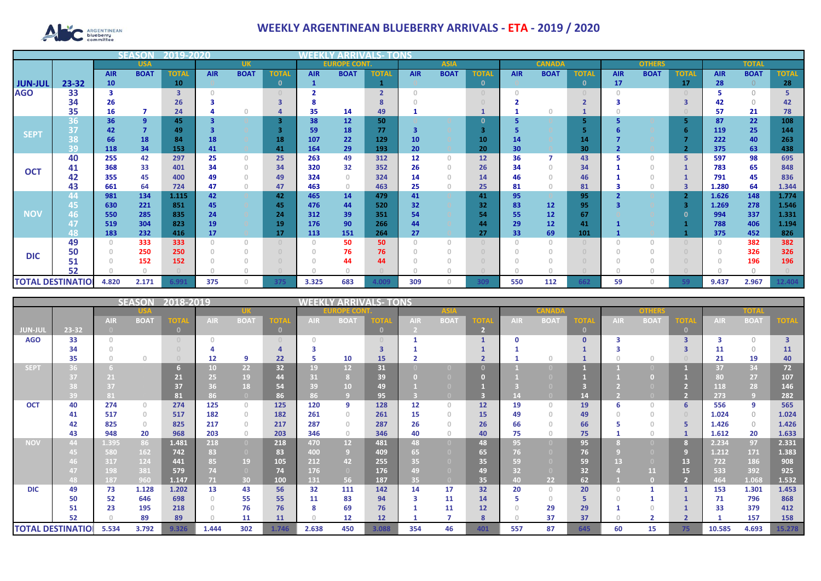

## **WEEKLY ARGENTINEAN BLUEBERRY ARRIVALS - ETA - 2019 / 2020**

|                          |                      | SE V       | 12019-2020     |              |            |                                       |              |            |                     |                |            |             |              |            |                 |              |            |               |              |            |              |              |
|--------------------------|----------------------|------------|----------------|--------------|------------|---------------------------------------|--------------|------------|---------------------|----------------|------------|-------------|--------------|------------|-----------------|--------------|------------|---------------|--------------|------------|--------------|--------------|
|                          |                      |            | <b>USA</b>     |              |            | <b>UK</b>                             |              |            | <b>EUROPE CONT.</b> |                |            | <b>ASIA</b> |              |            | <b>CANADA</b>   |              |            | <b>OTHERS</b> |              |            | <b>TOTAL</b> |              |
|                          |                      | <b>AIR</b> | <b>BOAT</b>    | <b>TOTAL</b> | <b>AIR</b> | <b>BOAT</b>                           | <b>TOTAI</b> | <b>AIR</b> | <b>BOAT</b>         | <b>TOTAL</b>   | <b>AIR</b> | <b>BOAT</b> | <b>TOTAI</b> | <b>AIR</b> | <b>BOAT</b>     | <b>TOTAL</b> | <b>AIR</b> | <b>BOAT</b>   | <b>TOTAL</b> | <b>AIR</b> | <b>BOAT</b>  | <b>TOTAL</b> |
| <b>JUN-JUL</b>           | 23-32                | 10         |                | 10           |            |                                       | $\mathbf{0}$ |            |                     |                |            |             | $\mathbf 0$  |            |                 | $\mathbf{0}$ | 17         |               | 17           | 28         | $\Omega$     | 28           |
| <b>AGO</b>               | 33                   |            |                | 3            |            |                                       |              |            |                     | $\overline{2}$ |            |             | $\cap$       |            |                 |              |            |               |              |            | $\bigcap$    |              |
|                          | 34                   | 26         |                | 26           |            |                                       |              |            |                     |                |            |             |              |            |                 |              |            |               |              | 42         | $\bigcap$    | 42           |
|                          | 35                   | 16         |                | 24           |            |                                       |              | 35         | 14                  | 49             |            |             |              |            |                 |              |            |               |              | 57         | 21           | 78           |
| <b>SEPT</b>              | 36                   | 36         | $\overline{9}$ | 45           |            |                                       | 3.           | 38         | 12                  | 50             |            |             | 0            |            |                 | 5            |            |               |              | 87         | 22           | 108          |
|                          | 37                   | 42         |                | 49           |            |                                       |              | 59         | 18                  | 77             | 3          |             | З            |            |                 |              |            |               |              | 119        | 25           | 144          |
|                          | $\overline{O}$<br>50 | 66         | 18             | 84           | 18         |                                       | 18           | 107        | 22                  | 129            | 10         |             | 10           | 14         |                 | 14           |            |               |              | 222        | 40           | 263          |
|                          | 39                   | 118        | 34             | 153          | 41         |                                       | 41           | 164        | 29                  | 193            | 20         |             | 20           | 30         |                 | 30           |            |               |              | 375        | 63           | 438          |
| <b>OCT</b>               | 40                   | 255        | 42             | 297          | 25         | $\mathbf{0}$                          | 25           | 263        | 49                  | 312            | 12         | $\Box$      | 12           | 36         |                 | 43           |            | $\Omega$      | 5            | 597        | 98           | 695          |
|                          | 41                   | 368        | 33             | 401          | 34         | $\begin{array}{c} 0 \\ 0 \end{array}$ | 34           | 320        | 32                  | 352            | 26         |             | 26           | 34         |                 | 34           |            | $\Omega$      |              | 783        | 65           | 848          |
|                          | 42                   | 355        | 45             | 400          | 49         | $\begin{array}{c} 0 \\ 0 \end{array}$ | 49           | 324        | $\Omega$            | 324            | 14         |             | 14           | 46         |                 | 46           |            |               |              | 791        | 45           | 836          |
|                          | 43                   | 661        | 64             | 724          | 47         | $\begin{array}{c} 0 \\ 0 \end{array}$ | 47           | 463        | $\circ$             | 463            | 25         |             | 25           | 81         |                 | 81           |            | $\circ$       |              | 1.280      | 64           | 1.344        |
|                          | 44                   | 981        | 134            | 1.115        | 42         |                                       | 42           | 465        | 14                  | 479            | 41         |             | 41           | 95         |                 | 95           |            |               |              | 1.626      | 148          | 1.774        |
|                          | 45                   | 630        | 221            | 851          | 45         |                                       | 45           | 476        | 44                  | 520            | 32         |             | 32           | 83         | 12              | 95           |            |               |              | 1.269      | 278          | 1.546        |
| <b>NOV</b>               | 46                   | 550        | 285            | 835          | 24         |                                       | 24           | 312        | 39                  | 351            | 54         |             | 54           | 55         | 12              | 67           |            |               |              | 994        | 337          | 1.331        |
|                          | 47                   | 519        | 304            | 823          | 19         |                                       | 19           | 176        | 90                  | 266            | 44         |             | 44           | 29         | 12 <sup>2</sup> | 41           |            |               |              | 788        | 406          | 1.194        |
|                          | 48                   | 183        | 232            | 416          | 17         |                                       | 17           | 113        | 151                 | 264            | 27         |             | 27           | 33         | 69              | 101          |            |               |              | 375        | 452          | 826          |
|                          | 49                   |            | 333            | 333          | 0          | $\begin{array}{c} 0 \\ 0 \end{array}$ |              | $\Omega$   | 50                  | 50             | $\bigcap$  | $\cap$      |              |            |                 |              |            | $\Omega$      |              | 0          | 382          | 382          |
| <b>DIC</b>               | 50                   |            | 250            | 250          |            |                                       |              |            | 76                  | 76             |            |             |              |            |                 |              |            |               |              |            | 326          | 326          |
|                          | 51                   |            | 152            | 152          |            |                                       |              |            | 44                  | 44             |            |             |              |            |                 |              |            |               |              |            | 196          | 196          |
|                          | 52                   |            |                |              |            |                                       |              |            |                     |                |            |             |              |            |                 |              |            |               |              |            |              |              |
| <b>TOTAL DESTINATION</b> |                      | 4.820      | 2.171          | 6.991        | 375        | O                                     | 375          | 3.325      | 683                 | 4.009          | 309        | n.          | 309          | 550        | 112             | 662          | 59         | O             |              | 9.437      | 2.967        | 12.404       |

|                          |       |            | <b>SEASON</b>                    | 2018-2019 |            | <b>WEEKLY ARRIVALS- TONS</b> |                                  |            |                 |              |                 |                                       |                |            |             |               |            |                |      |            |             |                         |
|--------------------------|-------|------------|----------------------------------|-----------|------------|------------------------------|----------------------------------|------------|-----------------|--------------|-----------------|---------------------------------------|----------------|------------|-------------|---------------|------------|----------------|------|------------|-------------|-------------------------|
|                          |       |            |                                  |           |            |                              | <u> 12 = C(0)</u>                |            |                 | <b>ASIA</b>  |                 |                                       | <b>CANADA</b>  |            |             | <b>OTHERS</b> |            |                | TOTA |            |             |                         |
|                          |       | <b>AIR</b> | <b>BOAT</b>                      | TOTA      | <b>AIR</b> | <b>BOAT</b>                  | ОП                               | <b>AIR</b> | <b>BOAT</b>     | IOTA         | <b>AIR</b>      | <b>BOAT</b>                           | <b>TOTA</b>    | <b>AIR</b> | <b>BOAT</b> | ГОТА          | <b>AIR</b> | <b>BOA1</b>    | тот  | <b>AIR</b> | <b>BOAT</b> | <b>OTA</b>              |
| <b>JUN-JUL</b>           | 23-32 |            |                                  | $\Box$    |            |                              | $\mathbf{0}$                     |            |                 | $\mathbf{0}$ |                 |                                       | $\overline{2}$ |            |             | $\mathbf{0}$  |            |                |      |            |             |                         |
| <b>AGO</b>               | 33    |            |                                  |           |            |                              | $\begin{array}{c} \n\end{array}$ | $\cap$     |                 |              |                 |                                       |                |            |             | $\Omega$      |            |                |      |            | $\Omega$    | $\overline{\mathbf{3}}$ |
|                          | 34    |            |                                  |           |            |                              |                                  |            |                 |              |                 |                                       |                |            |             |               |            |                |      | 11         | $\Omega$    | 11                      |
|                          | 35    |            | $\Omega$                         |           | 12         | 9                            | 22                               | 5          | 10              | 15           |                 |                                       |                |            |             |               |            | $\cap$         |      | 21         | 19          | 40                      |
| <b>SEPT</b>              |       |            |                                  |           | 10         | 22 <sub>2</sub>              | 32                               | 19         | 12              | 31           |                 |                                       |                |            |             |               |            |                |      | 37         | 34          | 72                      |
|                          |       | 21         |                                  | 21        | 25         | 19                           | 44                               | 31         |                 | 39           |                 |                                       |                |            |             |               |            |                |      | 80         | 27          | 107                     |
|                          |       | 37         |                                  | 37        | 36         | 18                           | 54                               | 39         | 10              | 49           |                 |                                       |                |            |             |               |            |                |      | 118        | 28          | 146                     |
|                          | 39    | 81         |                                  | 81        | 86         | $\bullet$                    | 86                               | 86         |                 | 95           |                 |                                       |                |            |             | 14            |            |                |      | 273        | -9          | 282                     |
| <b>OCT</b>               | 40    | 274        | $\begin{array}{c} 0 \end{array}$ | 274       | 125        | $\circ$                      | 125                              | 120        | 9               | 128          | 12 <sup>2</sup> | $\begin{array}{c} 0 \\ 0 \end{array}$ | 12             | 19         | $\cap$      | 19            | 6          | $\Omega$       | 6    | 556        | 9           | 565                     |
|                          | 41    | 517        | $\begin{array}{c} 0 \end{array}$ | 517       | 182        | $\circ$                      | 182                              | 261        | $\Omega$        | 261          | 15              | $\Box$                                | 15             | 49         | $\cap$      | 49            |            | $\Box$         |      | 1.024      | $\bigcirc$  | 1.024                   |
|                          | 42    | 825        | $\begin{array}{c} 0 \end{array}$ | 825       | 217        | $\mathbf{0}$                 | 217                              | 287        | $\Omega$        | 287          | 26              |                                       | 26             | 66         |             | 66            |            | $\Box$         |      | 1.426      | $\circ$     | 1.426                   |
|                          | 43    | 948        | 20                               | 968       | 203        | $\circ$                      | 203                              | 346        | $\circ$         | 346          | 40              | $\Omega$                              | 40             | 75         |             | 75            |            | $\cap$         |      | 1.612      | 20          | 1.633                   |
| <b>NOV</b>               | 44    | 1.395      | 86                               | 1.481     | 218        | $\overline{0}$               | 218                              | 470        | 12 <sup>°</sup> | 481          | 48              | n                                     | 48             | 95         |             | 95            |            |                |      | 2.234      | 97          | 2.331                   |
|                          |       | 580        | 162                              | 742       | 83         | $\overline{0}$               | 83                               | 400        | 9 <sup>°</sup>  | 409          | 65 <sub>1</sub> |                                       | 65             | 76         |             | 76            |            |                | 9    | 1.212      | 171         | 1.383                   |
|                          |       | 317        | 124                              | 441       | 85/        | 19                           | 105                              | 212        | 42              | 255          | 35              |                                       | 35             | 59         |             | 59            | 13         |                | 13   | 722        | 186         | 908                     |
|                          |       | 198        | 381                              | 579       | 74         | $\overline{0}$               | 74                               | 176        | $\overline{0}$  | 176          | 49              |                                       | 49             | 32         |             | 32            |            | 11             | 15   | 533        | 392         | 925                     |
|                          | 48.   | 187        | 960                              | 1.147     | 71         | 30                           | 100                              | 131        | 56              | 187          | 35              | $\Box$                                | 35             | 40.        | 22          | 62            |            | n              |      | 464        | 1.068       | 1.532                   |
| <b>DIC</b>               | 49    | 73         | 1.128                            | 1.202     | 13         | 43                           | 56                               | 32         | 111             | 142          | 14              | 17                                    | 32             | 20         | $\circ$     | 20            |            |                |      | 153        | 1.301       | 1.453                   |
|                          | 50    | 52         | 646                              | 698       | n          | 55                           | 55                               | 11         | 83              | 94           | 3               | 11                                    | 14             |            | $\Omega$    | 5             |            |                |      | 71         | 796         | 868                     |
|                          | 51    | 23         | 195                              | 218       |            | 76                           | 76                               | 8          | 69              | 76           |                 | 11                                    | 12             |            | 29          | 29            |            |                |      | 33         | 379         | 412                     |
|                          | 52    |            | 89                               | 89        |            | 11                           | 11                               | $\Box$     | 12              | 12           |                 |                                       | 8              |            | 37          | 37            |            | $\overline{2}$ |      |            | 157         | 158                     |
| <b>TOTAL DESTINATIOI</b> |       | 5.534      | 3.792                            | 9.326     | 1.444      | 302                          | 1.746                            | 2.638      | 450             | 3.088        | 354             | 46                                    | 401            | 557        | 87          | 645           | 60         | 15             | 75   | 10.585     | 4.693       | 15.278                  |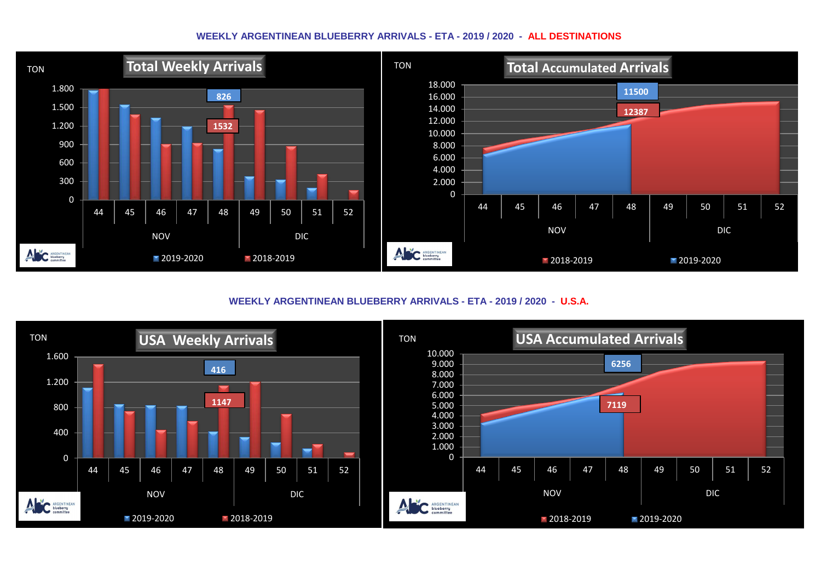## **WEEKLY ARGENTINEAN BLUEBERRY ARRIVALS - ETA - 2019 / 2020 - ALL DESTINATIONS**



**WEEKLY ARGENTINEAN BLUEBERRY ARRIVALS - ETA - 2019 / 2020 - U.S.A.**

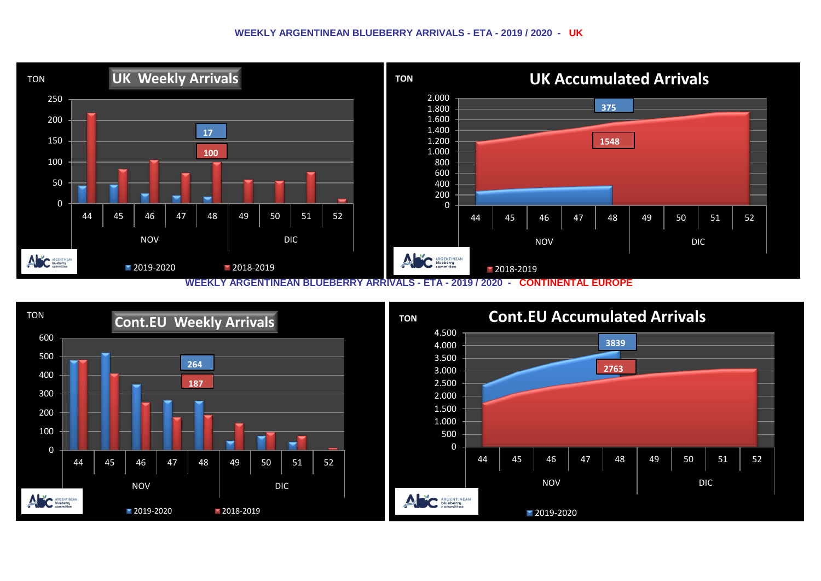## **WEEKLY ARGENTINEAN BLUEBERRY ARRIVALS - ETA - 2019 / 2020 - UK**